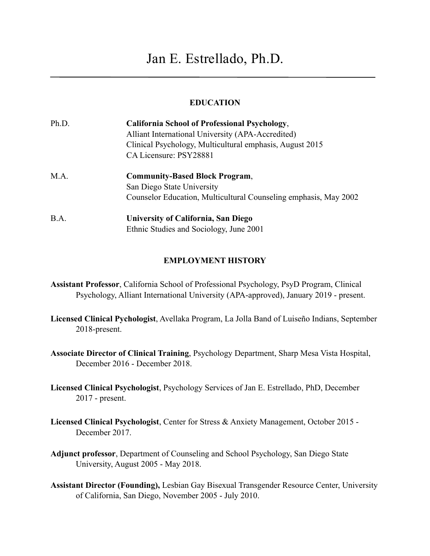# **EDUCATION**

| Ph.D. | <b>California School of Professional Psychology,</b>             |
|-------|------------------------------------------------------------------|
|       | Alliant International University (APA-Accredited)                |
|       | Clinical Psychology, Multicultural emphasis, August 2015         |
|       | CA Licensure: PSY28881                                           |
| M.A.  | <b>Community-Based Block Program,</b>                            |
|       | San Diego State University                                       |
|       | Counselor Education, Multicultural Counseling emphasis, May 2002 |
| B.A.  | University of California, San Diego                              |
|       | Ethnic Studies and Sociology, June 2001                          |

## **EMPLOYMENT HISTORY**

- **Assistant Professor**, California School of Professional Psychology, PsyD Program, Clinical Psychology, Alliant International University (APA-approved), January 2019 - present.
- **Licensed Clinical Pychologist**, Avellaka Program, La Jolla Band of Luiseño Indians, September 2018-present.
- **Associate Director of Clinical Training**, Psychology Department, Sharp Mesa Vista Hospital, December 2016 - December 2018.
- **Licensed Clinical Psychologist**, Psychology Services of Jan E. Estrellado, PhD, December 2017 - present.
- **Licensed Clinical Psychologist**, Center for Stress & Anxiety Management, October 2015 December 2017.
- **Adjunct professor**, Department of Counseling and School Psychology, San Diego State University, August 2005 - May 2018.
- **Assistant Director (Founding),** Lesbian Gay Bisexual Transgender Resource Center, University of California, San Diego, November 2005 - July 2010.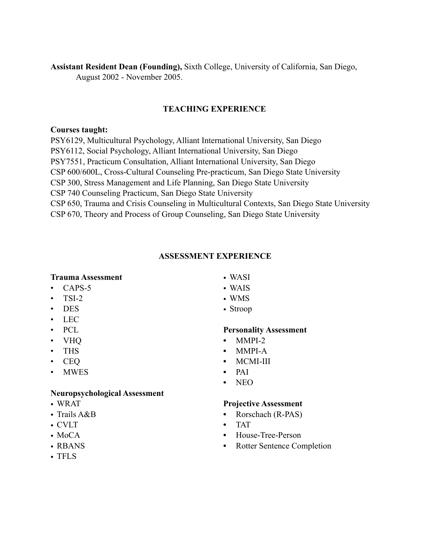**Assistant Resident Dean (Founding),** Sixth College, University of California, San Diego, August 2002 - November 2005.

# **TEACHING EXPERIENCE**

#### **Courses taught:**

PSY6129, Multicultural Psychology, Alliant International University, San Diego PSY6112, Social Psychology, Alliant International University, San Diego PSY7551, Practicum Consultation, Alliant International University, San Diego CSP 600/600L, Cross-Cultural Counseling Pre-practicum, San Diego State University CSP 300, Stress Management and Life Planning, San Diego State University CSP 740 Counseling Practicum, San Diego State University CSP 650, Trauma and Crisis Counseling in Multicultural Contexts, San Diego State University CSP 670, Theory and Process of Group Counseling, San Diego State University

## **ASSESSMENT EXPERIENCE**

## **Trauma Assessment**

- $\cdot$  CAPS-5
- $\cdot$  TSI-2
- DES
- LEC
- PCL
- VHQ
- THS
- CEQ
- MWES

## **Neuropsychological Assessment**

- WRAT
- Trails A&B
- CVLT
- MoCA
- RBANS
- TFLS
- WASI
- WAIS
- WMS
- Stroop

## **Personality Assessment**

- **•** MMPI-2
- **•** MMPI-A
- **•** MCMI-III
- **•** PAI
- **•** NEO

## **Projective Assessment**

- **•** Rorschach (R-PAS)
- **•** TAT
- **•** House-Tree-Person
- **•** Rotter Sentence Completion
- 
- 
-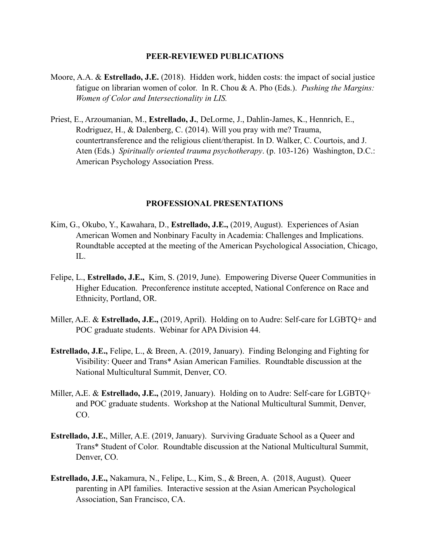#### **PEER-REVIEWED PUBLICATIONS**

- Moore, A.A. & **Estrellado, J.E.** (2018). Hidden work, hidden costs: the impact of social justice fatigue on librarian women of color. In R. Chou & A. Pho (Eds.). *Pushing the Margins: Women of Color and Intersectionality in LIS.*
- Priest, E., Arzoumanian, M., **Estrellado, J.**, DeLorme, J., Dahlin-James, K., Hennrich, E., Rodriguez, H., & Dalenberg, C. (2014). Will you pray with me? Trauma, countertransference and the religious client/therapist. In D. Walker, C. Courtois, and J. Aten (Eds.) *Spiritually oriented trauma psychotherapy*. (p. 103-126) Washington, D.C.: American Psychology Association Press.

#### **PROFESSIONAL PRESENTATIONS**

- Kim, G., Okubo, Y., Kawahara, D., **Estrellado, J.E.,** (2019, August). Experiences of Asian American Women and Nonbinary Faculty in Academia: Challenges and Implications. Roundtable accepted at the meeting of the American Psychological Association, Chicago, IL.
- Felipe, L., **Estrellado, J.E.,** Kim, S. (2019, June). Empowering Diverse Queer Communities in Higher Education. Preconference institute accepted, National Conference on Race and Ethnicity, Portland, OR.
- Miller, A**.**E. & **Estrellado, J.E.,** (2019, April). Holding on to Audre: Self-care for LGBTQ+ and POC graduate students. Webinar for APA Division 44.
- **Estrellado, J.E.,** Felipe, L., & Breen, A. (2019, January). Finding Belonging and Fighting for Visibility: Queer and Trans\* Asian American Families. Roundtable discussion at the National Multicultural Summit, Denver, CO.
- Miller, A**.**E. & **Estrellado, J.E.,** (2019, January). Holding on to Audre: Self-care for LGBTQ+ and POC graduate students. Workshop at the National Multicultural Summit, Denver, CO.
- **Estrellado, J.E.**, Miller, A.E. (2019, January). Surviving Graduate School as a Queer and Trans\* Student of Color. Roundtable discussion at the National Multicultural Summit, Denver, CO.
- **Estrellado, J.E.,** Nakamura, N., Felipe, L., Kim, S., & Breen, A. (2018, August). Queer parenting in API families. Interactive session at the Asian American Psychological Association, San Francisco, CA.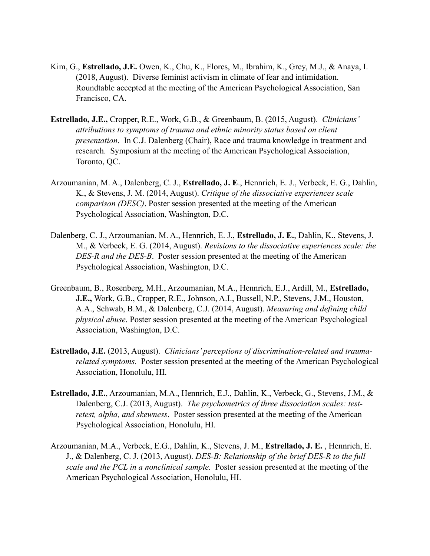- Kim, G., **Estrellado, J.E.** Owen, K., Chu, K., Flores, M., Ibrahim, K., Grey, M.J., & Anaya, I. (2018, August). Diverse feminist activism in climate of fear and intimidation. Roundtable accepted at the meeting of the American Psychological Association, San Francisco, CA.
- **Estrellado, J.E.,** Cropper, R.E., Work, G.B., & Greenbaum, B. (2015, August). *Clinicians' attributions to symptoms of trauma and ethnic minority status based on client presentation*. In C.J. Dalenberg (Chair), Race and trauma knowledge in treatment and research. Symposium at the meeting of the American Psychological Association, Toronto, QC.
- Arzoumanian, M. A., Dalenberg, C. J., **Estrellado, J. E**., Hennrich, E. J., Verbeck, E. G., Dahlin, K., & Stevens, J. M. (2014, August). *Critique of the dissociative experiences scale comparison (DESC)*. Poster session presented at the meeting of the American Psychological Association, Washington, D.C.
- Dalenberg, C. J., Arzoumanian, M. A., Hennrich, E. J., **Estrellado, J. E.**, Dahlin, K., Stevens, J. M., & Verbeck, E. G. (2014, August). *Revisions to the dissociative experiences scale: the DES-R and the DES-B*. Poster session presented at the meeting of the American Psychological Association, Washington, D.C.
- Greenbaum, B., Rosenberg, M.H., Arzoumanian, M.A., Hennrich, E.J., Ardill, M., **Estrellado, J.E.,** Work, G.B., Cropper, R.E., Johnson, A.I., Bussell, N.P., Stevens, J.M., Houston, A.A., Schwab, B.M., & Dalenberg, C.J. (2014, August). *Measuring and defining child physical abuse*. Poster session presented at the meeting of the American Psychological Association, Washington, D.C.
- **Estrellado, J.E.** (2013, August). *Clinicians' perceptions of discrimination-related and traumarelated symptoms.* Poster session presented at the meeting of the American Psychological Association, Honolulu, HI.
- **Estrellado, J.E.**, Arzoumanian, M.A., Hennrich, E.J., Dahlin, K., Verbeck, G., Stevens, J.M., & Dalenberg, C.J. (2013, August). *The psychometrics of three dissociation scales: testretest, alpha, and skewness*. Poster session presented at the meeting of the American Psychological Association, Honolulu, HI.
- Arzoumanian, M.A., Verbeck, E.G., Dahlin, K., Stevens, J. M., **Estrellado, J. E.** , Hennrich, E. J., & Dalenberg, C. J. (2013, August). *DES-B: Relationship of the brief DES-R to the full scale and the PCL in a nonclinical sample.* Poster session presented at the meeting of the American Psychological Association, Honolulu, HI.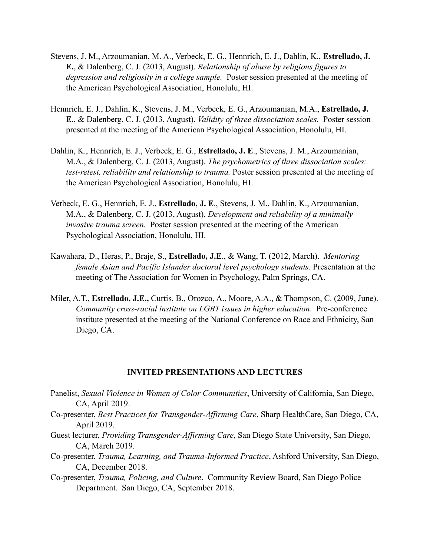- Stevens, J. M., Arzoumanian, M. A., Verbeck, E. G., Hennrich, E. J., Dahlin, K., **Estrellado, J. E.**, & Dalenberg, C. J. (2013, August). *Relationship of abuse by religious figures to depression and religiosity in a college sample.* Poster session presented at the meeting of the American Psychological Association, Honolulu, HI.
- Hennrich, E. J., Dahlin, K., Stevens, J. M., Verbeck, E. G., Arzoumanian, M.A., **Estrellado, J. E**., & Dalenberg, C. J. (2013, August). *Validity of three dissociation scales.* Poster session presented at the meeting of the American Psychological Association, Honolulu, HI.
- Dahlin, K., Hennrich, E. J., Verbeck, E. G., **Estrellado, J. E**., Stevens, J. M., Arzoumanian, M.A., & Dalenberg, C. J. (2013, August). *The psychometrics of three dissociation scales: test-retest, reliability and relationship to trauma.* Poster session presented at the meeting of the American Psychological Association, Honolulu, HI.
- Verbeck, E. G., Hennrich, E. J., **Estrellado, J. E**., Stevens, J. M., Dahlin, K., Arzoumanian, M.A., & Dalenberg, C. J. (2013, August). *Development and reliability of a minimally invasive trauma screen.* Poster session presented at the meeting of the American Psychological Association, Honolulu, HI.
- Kawahara, D., Heras, P., Braje, S., **Estrellado, J.E**., & Wang, T. (2012, March). *Mentoring female Asian and Pacific Islander doctoral level psychology students*. Presentation at the meeting of The Association for Women in Psychology, Palm Springs, CA.
- Miler, A.T., **Estrellado, J.E.,** Curtis, B., Orozco, A., Moore, A.A., & Thompson, C. (2009, June). *Community cross-racial institute on LGBT issues in higher education*. Pre-conference institute presented at the meeting of the National Conference on Race and Ethnicity, San Diego, CA.

#### **INVITED PRESENTATIONS AND LECTURES**

- Panelist, *Sexual Violence in Women of Color Communities*, University of California, San Diego, CA, April 2019.
- Co-presenter, *Best Practices for Transgender-Affirming Care*, Sharp HealthCare, San Diego, CA, April 2019.
- Guest lecturer, *Providing Transgender-Affirming Care*, San Diego State University, San Diego, CA, March 2019.
- Co-presenter, *Trauma, Learning, and Trauma-Informed Practice*, Ashford University, San Diego, CA, December 2018.
- Co-presenter, *Trauma, Policing, and Culture*. Community Review Board, San Diego Police Department. San Diego, CA, September 2018.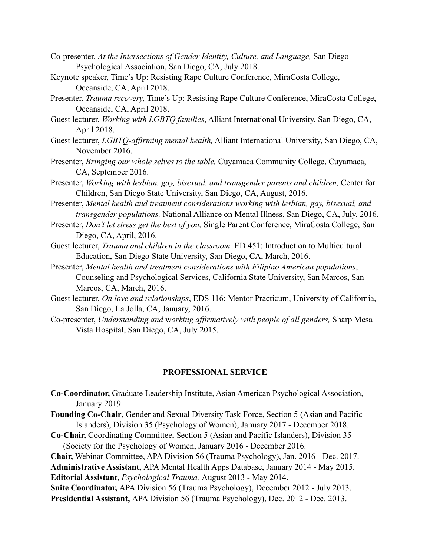- Co-presenter, *At the Intersections of Gender Identity, Culture, and Language,* San Diego Psychological Association, San Diego, CA, July 2018.
- Keynote speaker, Time's Up: Resisting Rape Culture Conference, MiraCosta College, Oceanside, CA, April 2018.
- Presenter, *Trauma recovery,* Time's Up: Resisting Rape Culture Conference, MiraCosta College, Oceanside, CA, April 2018.
- Guest lecturer, *Working with LGBTQ families*, Alliant International University, San Diego, CA, April 2018.
- Guest lecturer, *LGBTQ-affirming mental health,* Alliant International University, San Diego, CA, November 2016.
- Presenter, *Bringing our whole selves to the table,* Cuyamaca Community College, Cuyamaca, CA, September 2016.
- Presenter, *Working with lesbian, gay, bisexual, and transgender parents and children,* Center for Children, San Diego State University, San Diego, CA, August, 2016.
- Presenter, *Mental health and treatment considerations working with lesbian, gay, bisexual, and transgender populations,* National Alliance on Mental Illness, San Diego, CA, July, 2016.
- Presenter, *Don't let stress get the best of you,* Single Parent Conference, MiraCosta College, San Diego, CA, April, 2016.
- Guest lecturer, *Trauma and children in the classroom,* ED 451: Introduction to Multicultural Education, San Diego State University, San Diego, CA, March, 2016.
- Presenter, *Mental health and treatment considerations with Filipino American populations*, Counseling and Psychological Services, California State University, San Marcos, San Marcos, CA, March, 2016.
- Guest lecturer, *On love and relationships*, EDS 116: Mentor Practicum, University of California, San Diego, La Jolla, CA, January, 2016.
- Co-presenter, *Understanding and* w*orking affirmatively with people of all genders,* Sharp Mesa Vista Hospital, San Diego, CA, July 2015.

## **PROFESSIONAL SERVICE**

- **Co-Coordinator,** Graduate Leadership Institute, Asian American Psychological Association, January 2019
- **Founding Co-Chair**, Gender and Sexual Diversity Task Force, Section 5 (Asian and Pacific Islanders), Division 35 (Psychology of Women), January 2017 - December 2018.
- **Co-Chair,** Coordinating Committee, Section 5 (Asian and Pacific Islanders), Division 35 (Society for the Psychology of Women, January 2016 - December 2016.

**Chair,** Webinar Committee, APA Division 56 (Trauma Psychology), Jan. 2016 - Dec. 2017.

**Administrative Assistant,** APA Mental Health Apps Database, January 2014 - May 2015. **Editorial Assistant,** *Psychological Trauma,* August 2013 - May 2014.

**Suite Coordinator,** APA Division 56 (Trauma Psychology), December 2012 - July 2013. **Presidential Assistant,** APA Division 56 (Trauma Psychology), Dec. 2012 - Dec. 2013.